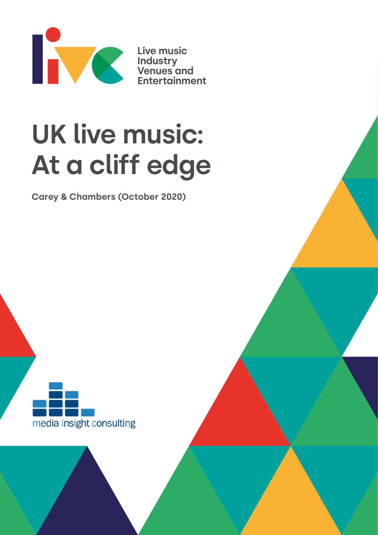

**Live music Industry Venues and Entertainment**

# **UK live music: At a cliff edge**

**Carey & Chambers (October 2020)**

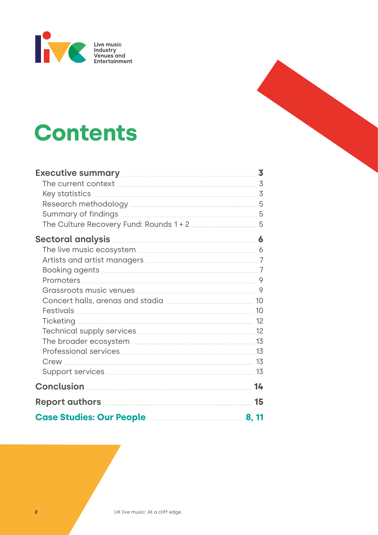

# **Contents**

| Executive summary <b>Execution</b> 3                                   |  |
|------------------------------------------------------------------------|--|
|                                                                        |  |
|                                                                        |  |
|                                                                        |  |
|                                                                        |  |
|                                                                        |  |
| Sectoral analysis <u>with analysis and the sectoral</u> of             |  |
| The live music ecosystem <b>Election 2020</b> 6                        |  |
| Artists and artist managers <b>manual contract and artists</b> 7       |  |
|                                                                        |  |
|                                                                        |  |
| Grassroots music venues <b>music and the Contract of Strassroots</b> 9 |  |
|                                                                        |  |
|                                                                        |  |
|                                                                        |  |
|                                                                        |  |
| The broader ecosystem <b>Election 2008</b> 13                          |  |
|                                                                        |  |
|                                                                        |  |
|                                                                        |  |
|                                                                        |  |
|                                                                        |  |
| <b>Case Studies: Our People <u>Case Studies: Our People</u></b>        |  |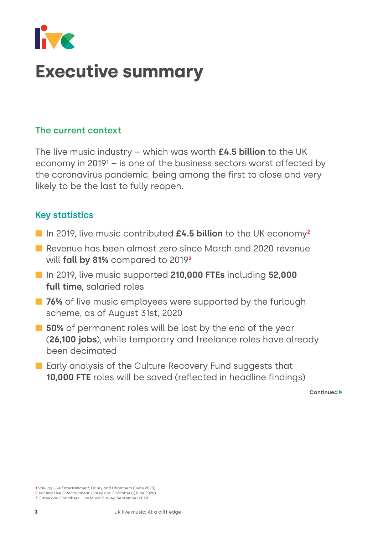<span id="page-2-0"></span>

# **Executive summary**

### **The current context**

The live music industry – which was worth **£4.5 billion** to the UK economy in 2019<sup>1</sup> – is one of the business sectors worst affected by the coronavirus pandemic, being among the first to close and very likely to be the last to fully reopen.

## **Key statistics**

- In 2019, live music contributed £4.5 billion to the UK economy<sup>2</sup>
- **n** Revenue has been almost zero since March and 2020 revenue will **fall by 81%** compared to 2019**³**
- n In 2019, live music supported **210,000 FTEs** including **52,000 full time**, salaried roles
- **n 76%** of live music employees were supported by the furlough scheme, as of August 31st, 2020
- $\blacksquare$  **50%** of permanent roles will be lost by the end of the year (**26,100 jobs**), while temporary and freelance roles have already been decimated
- **n** Early analysis of the Culture Recovery Fund suggests that **10,000 FTE** roles will be saved (reflected in headline findings)

**<sup>1</sup>** Valuing Live Entertainment, Carey and Chambers (June 2020)

**<sup>2</sup>** Valuing Live Entertainment, Carey and Chambers (June 2020)

**<sup>3</sup>** Carey and Chambers, Live Music Survey, September 2020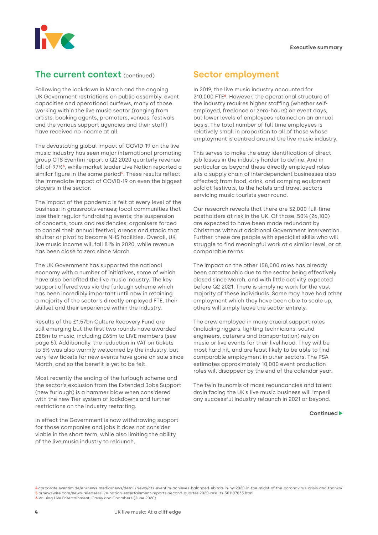

#### **The current context** (continued)

Following the lockdown in March and the ongoing UK Government restrictions on public assembly, event capacities and operational curfews, many of those working within the live music sector (ranging from artists, booking agents, promoters, venues, festivals and the various support agencies and their staff) have received no income at all.

The devastating global impact of COVID-19 on the live music industry has seen major international promoting group CTS Eventim report a Q2 2020 quarterly revenue fall of 97%<sup>4</sup>, while market leader Live Nation reported a similar figure in the same period<sup>5</sup>. These results reflect the immediate impact of COVID-19 on even the biggest players in the sector.

The impact of the pandemic is felt at every level of the business: in grassroots venues; local communities that lose their regular fundraising events; the suspension of concerts, tours and residencies; organisers forced to cancel their annual festival; arenas and stadia that shutter or pivot to become NHS facilities. Overall, UK live music income will fall 81% in 2020, while revenue has been close to zero since March

The UK Government has supported the national economy with a number of initiatives, some of which have also benefited the live music industry. The key support offered was via the furlough scheme which has been incredibly important until now in retaining a majority of the sector's directly employed FTE, their skillset and their experience within the industry.

Results of the £1.57bn Culture Recovery Fund are still emerging but the first two rounds have awarded £88m to music, including £65m to LIVE members (see page 5). Additionally, the reduction in VAT on tickets to 5% was also warmly welcomed by the industry, but very few tickets for new events have gone on sale since March, and so the benefit is yet to be felt.

Most recently the ending of the furlough scheme and the sector's exclusion from the Extended Jobs Support (new furlough) is a hammer blow when considered with the new Tier system of lockdowns and further restrictions on the industry restarting.

In effect the Government is now withdrawing support for those companies and jobs it does not consider viable in the short term, while also limiting the ability of the live music industry to relaunch.

## **Sector employment**

In 2019, the live music industry accounted for 210,000 FTE**<sup>6</sup>**. However, the operational structure of the industry requires higher staffing (whether selfemployed, freelance or zero-hours) on event days, but lower levels of employees retained on an annual basis. The total number of full time employees is relatively small in proportion to all of those whose employment is centred around the live music industry.

This serves to make the easy identification of direct job losses in the industry harder to define. And in particular as beyond these directly employed roles sits a supply chain of interdependent businesses also affected; from food, drink, and camping equipment sold at festivals, to the hotels and travel sectors servicing music tourists year round.

Our research reveals that there are 52,000 full-time postholders at risk in the UK. Of those, 50% (26,100) are expected to have been made redundant by Christmas without additional Government intervention. Further, these are people with specialist skills who will struggle to find meaningful work at a similar level, or at comparable terms.

The impact on the other 158,000 roles has already been catastrophic due to the sector being effectively closed since March, and with little activity expected before Q2 2021. There is simply no work for the vast majority of these individuals. Some may have had other employment which they have been able to scale up, others will simply leave the sector entirely.

The crew employed in many crucial support roles (including riggers, lighting technicians, sound engineers, caterers and transportation) rely on music or live events for their livelihood. They will be most hard hit, and are least likely to be able to find comparable employment in other sectors. The PSA estimates approximately 10,000 event production roles will disappear by the end of the calendar year.

The twin tsunamis of mass redundancies and talent drain facing the UK's live music business will imperil any successful industry relaunch in 2021 or beyond.

**<sup>4</sup>** [corporate.eventim.de/en/news-media/news/detail/News/cts-eventim-achieves-balanced-ebitda-in-hy12020-in-the-midst-of-the-coronavirus-crisis-and-thanks/](https://corporate.eventim.de/en/news-media/news/detail/News/cts-eventim-achieves-balanced-ebitda-in-hy12020-in-the-midst-of-the-coronavirus-crisis-and-thanks/) **5** [prnewswire.com/news-releases/live-nation-entertainment-reports-second-quarter-2020-results-301107033.html](https://www.prnewswire.com/news-releases/live-nation-entertainment-reports-second-quarter-2020-results-301107033.html)

**<sup>6</sup>** Valuing Live Entertainment, Carey and Chambers (June 2020)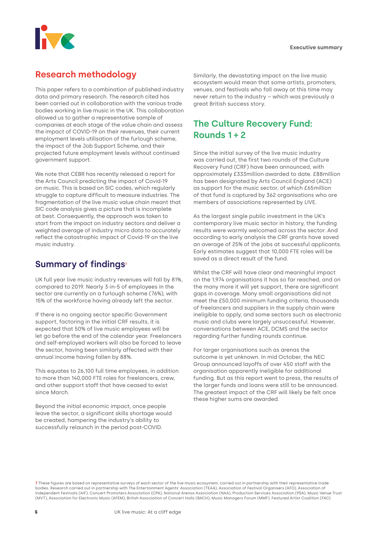<span id="page-4-0"></span>

# **Research methodology**

This paper refers to a combination of published industry data and primary research. The research cited has been carried out in collaboration with the various trade bodies working in live music in the UK. This collaboration allowed us to gather a representative sample of companies at each stage of the value chain and assess the impact of COVID-19 on their revenues, their current employment levels utilisation of the furlough scheme, the impact of the Job Support Scheme, and their projected future employment levels without continued government support.

We note that CEBR has recently released a report for the Arts Council predicting the impact of Covid-19 on music. This is based on SIC codes, which regularly struggle to capture difficult to measure industries. The fragmentation of the live music value chain meant that SIC code analysis gives a picture that is incomplete at best. Consequently, the approach was taken to start from the impact on industry sectors and deliver a weighted average of industry micro data to accurately reflect the catastrophic impact of Covid-19 on the live music industry.

# **Summary of findings7**

UK full year live music industry revenues will fall by 81%, compared to 2019. Nearly 3-in-5 of employees in the sector are currently on a furlough scheme (76%), with 15% of the workforce having already left the sector.

If there is no ongoing sector specific Government support, factoring in the initial CRF results, it is expected that 50% of live music employees will be let go before the end of the calendar year. Freelancers and self-employed workers will also be forced to leave the sector, having been similarly affected with their annual income having fallen by 88%.

This equates to 26,100 full time employees, in addition to more than 140,000 FTE roles for freelancers, crew, and other support staff that have ceased to exist since March.

Beyond the initial economic impact, once people leave the sector, a significant skills shortage would be created, hampering the industry's ability to successfully relaunch in the period post-COVID.

Similarly, the devastating impact on the live music ecosystem would mean that some artists, promoters, venues, and festivals who fall away at this time may never return to the industry – which was previously a great British success story.

# **The Culture Recovery Fund: Rounds 1 + 2**

Since the initial survey of the live music industry was carried out, the first two rounds of the Culture Recovery Fund (CRF) have been announced, with approximately £333million awarded to date. £88million has been designated by Arts Council England (ACE) as support for the music sector, of which £65million of that fund is captured by 362 organisations who are members of associations represented by LIVE.

As the largest single public investment in the UK's contemporary live music sector in history, the funding results were warmly welcomed across the sector. And according to early analysis the CRF grants have saved an average of 25% of the jobs at successful applicants. Early estimates suggest that 10,000 FTE roles will be saved as a direct result of the fund.

Whilst the CRF will have clear and meaningful impact on the 1,974 organisations it has so far reached, and on the many more it will yet support, there are significant gaps in coverage. Many small organisations did not meet the £50,000 minimum funding criteria, thousands of freelancers and suppliers in the supply chain were ineligible to apply, and some sectors such as electronic music and clubs were largely unsuccessful. However, conversations between ACE, DCMS and the sector regarding further funding rounds continue.

For larger organisations such as arenas the outcome is yet unknown. In mid October, the NEC Group announced layoffs of over 450 staff with the organisation apparently ineligible for additional funding. But as this report went to press, the results of the larger funds and loans were still to be announced. The greatest impact of the CRF will likely be felt once these higher sums are awarded.

**7**These figures are based on representative surveys of each sector of the live music ecosystem, carried out in partnership with their representative trade bodies. Research carried out in partnership with The Entertainment Agents' Association (TEAA), Association of Festival Organisers (AFO), Association of Independent Festivals (AIF), Concert Promoters Association (CPA), National Arenas Association (NAA), Production Services Association (PSA), Music Venue Trust (MVT), Association for Electronic Music (AFEM), British Association of Concert Halls (BACH), Music Managers Forum (MMF), Featured Artist Coalition (FAC)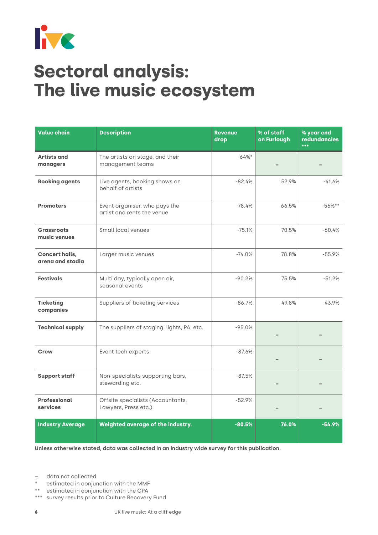<span id="page-5-0"></span>

# **Sectoral analysis: The live music ecosystem**

| <b>Value chain</b>                        | <b>Description</b>                                          | <b>Revenue</b><br>drop | % of staff<br>on Furlough | % year end<br><b>redundancies</b><br>*** |
|-------------------------------------------|-------------------------------------------------------------|------------------------|---------------------------|------------------------------------------|
| <b>Artists and</b><br>managers            | The artists on stage, and their<br>management teams         | $-64%$                 |                           |                                          |
| <b>Booking agents</b>                     | Live agents, booking shows on<br>behalf of artists          | $-82.4%$               | 52.9%                     | $-41.6%$                                 |
| <b>Promoters</b>                          | Event organiser, who pays the<br>artist and rents the venue | $-78.4%$               | 66.5%                     | $-56%$ **                                |
| <b>Grassroots</b><br>music venues         | Small local venues                                          | $-75.1%$               | 70.5%                     | $-60.4%$                                 |
| <b>Concert halls,</b><br>arena and stadia | Larger music venues                                         | $-74.0%$               | 78.8%                     | $-55.9%$                                 |
| <b>Festivals</b>                          | Multi day, typically open air,<br>seasonal events           | $-90.2%$               | 75.5%                     | $-51.2%$                                 |
| <b>Ticketing</b><br>companies             | Suppliers of ticketing services                             | $-86.7%$               | 49.8%                     | $-43.9%$                                 |
| <b>Technical supply</b>                   | The suppliers of staging, lights, PA, etc.                  | $-95.0%$               |                           |                                          |
| <b>Crew</b>                               | Event tech experts                                          | $-87.6%$               |                           |                                          |
| <b>Support staff</b>                      | Non-specialists supporting bars,<br>stewarding etc.         | $-87.5%$               |                           |                                          |
| Professional<br>services                  | Offsite specialists (Accountants,<br>Lawyers, Press etc.)   | $-52.9%$               |                           |                                          |
| <b>Industry Average</b>                   | Weighted average of the industry.                           | $-80.5%$               | 76.0%                     | $-54.9%$                                 |

**Unless otherwise stated, data was collected in an industry wide survey for this publication.**

– data not collected

- \* estimated in conjunction with the MMF
- \*\* estimated in conjunction with the CPA
- \*\*\* survey results prior to Culture Recovery Fund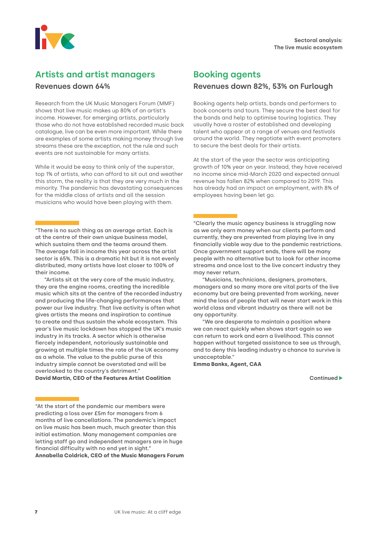<span id="page-6-0"></span>

### **Artists and artist managers**

#### **Revenues down 64%**

Research from the UK Music Managers Forum (MMF) shows that live music makes up 80% of an artist's income. However, for emerging artists, particularly those who do not have established recorded music back catalogue, live can be even more important. While there are examples of some artists making money through live streams these are the exception, not the rule and such events are not sustainable for many artists.

While it would be easy to think only of the superstar, top 1% of artists, who can afford to sit out and weather this storm, the reality is that they are very much in the minority. The pandemic has devastating consequences for the middle class of artists and all the session musicians who would have been playing with them.

"There is no such thing as an average artist. Each is at the centre of their own unique business model, which sustains them and the teams around them. The average fall in income this year across the artist sector is 65%. This is a dramatic hit but it is not evenly distributed, many artists have lost closer to 100% of their income.

"Artists sit at the very core of the music industry, they are the engine rooms, creating the incredible music which sits at the centre of the recorded industry and producing the life-changing performances that power our live industry. That live activity is often what gives artists the means and inspiration to continue to create and thus sustain the whole ecosystem. This year's live music lockdown has stopped the UK's music industry in its tracks. A sector which is otherwise fiercely independent, notoriously sustainable and growing at multiple times the rate of the UK economy as a whole. The value to the public purse of this industry simple cannot be overstated and will be overlooked to the country's detriment." **David Martin, CEO of the Features Artist Coalition**

"At the start of the pandemic our members were predicting a loss over £5m for managers from 6 months of live cancellations. The pandemic's impact on live music has been much, much greater than this initial estimation. Many management companies are letting staff go and independent managers are in huge financial difficulty with no end yet in sight." **Annabella Coldrick, CEO of the Music Managers Forum**

# **Booking agents**

#### **Revenues down 82%, 53% on Furlough**

Booking agents help artists, bands and performers to book concerts and tours. They secure the best deal for the bands and help to optimise touring logistics. They usually have a roster of established and developing talent who appear at a range of venues and festivals around the world. They negotiate with event promoters to secure the best deals for their artists.

At the start of the year the sector was anticipating growth of 10% year on year. Instead, they have received no income since mid-March 2020 and expected annual revenue has fallen 82% when compared to 2019. This has already had an impact on employment, with 8% of employees having been let go.

"Clearly the music agency business is struggling now as we only earn money when our clients perform and currently, they are prevented from playing live in any financially viable way due to the pandemic restrictions. Once government support ends, there will be many people with no alternative but to look for other income streams and once lost to the live concert industry they may never return.

"Musicians, technicians, designers, promoters, managers and so many more are vital parts of the live economy but are being prevented from working, never mind the loss of people that will never start work in this world class and vibrant industry as there will not be any opportunity.

"We are desperate to maintain a position where we can react quickly when shows start again so we can return to work and earn a livelihood. This cannot happen without targeted assistance to see us through, and to deny this leading industry a chance to survive is unacceptable."

**Emma Banks, Agent, CAA**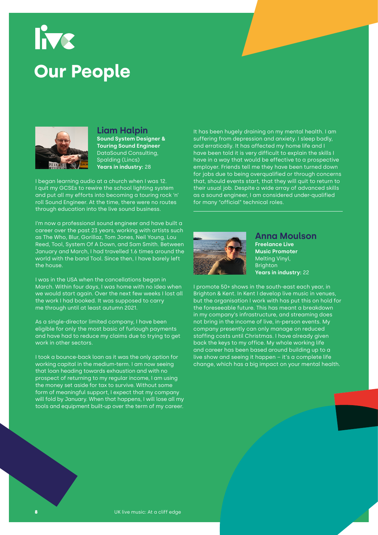# <span id="page-7-0"></span>live **Our People**



**Liam Halpin Sound System Designer & Touring Sound Engineer** DataSound Consulting, Spalding (Lincs)

**Years in industry:** 28

I began learning audio at a church when I was 12. I quit my GCSEs to rewire the school lighting system and put all my efforts into becoming a touring rock 'n' roll Sound Engineer. At the time, there were no routes through education into the live sound business.

I'm now a professional sound engineer and have built a career over the past 23 years, working with artists such as The Who, Blur, Gorillaz, Tom Jones, Neil Young, Lou Reed, Tool, System Of A Down, and Sam Smith. Between January and March, I had travelled 1.6 times around the world with the band Tool. Since then, I have barely left the house.

I was in the USA when the cancellations began in March. Within four days, I was home with no idea when we would start again. Over the next few weeks I lost all the work I had booked. It was supposed to carry me through until at least autumn 2021.

As a single-director limited company, I have been eligible for only the most basic of furlough payments and have had to reduce my claims due to trying to get work in other sectors.

I took a bounce-back loan as it was the only option for working capital in the medium-term. I am now seeing that loan heading towards exhaustion and with no prospect of returning to my regular income, I am using the money set aside for tax to survive. Without some form of meaningful support, I expect that my company will fold by January. When that happens, I will lose all my tools and equipment built-up over the term of my career. It has been hugely draining on my mental health. I am suffering from depression and anxiety. I sleep badly, and erratically. It has affected my home life and I have been told it is very difficult to explain the skills I have in a way that would be effective to a prospective employer. Friends tell me they have been turned down for jobs due to being overqualified or through concerns that, should events start, that they will quit to return to their usual job. Despite a wide array of advanced skills as a sound engineer, I am considered under-qualified for many "official" technical roles.



**Anna Moulson Freelance Live Music Promoter**  Melting Vinyl, **Brighton Years in industry:** 22

I promote 50+ shows in the south-east each year, in Brighton & Kent. In Kent I develop live music in venues, but the organisation I work with has put this on hold for the foreseeable future. This has meant a breakdown in my company's infrastructure, and streaming does not bring in the income of live, in-person events. My company presently can only manage on reduced staffing costs until Christmas. I have already given back the keys to my office. My whole working life and career has been based around building up to a live show and seeing it happen – it's a complete life change, which has a big impact on your mental health.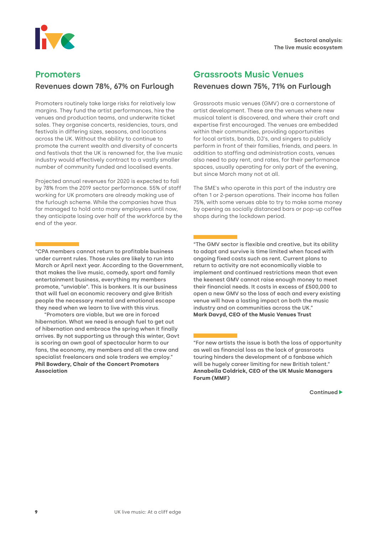<span id="page-8-0"></span>

### **Promoters**

#### **Revenues down 78%, 67% on Furlough**

Promoters routinely take large risks for relatively low margins. They fund the artist performances, hire the venues and production teams, and underwrite ticket sales. They organise concerts, residencies, tours, and festivals in differing sizes, seasons, and locations across the UK. Without the ability to continue to promote the current wealth and diversity of concerts and festivals that the UK is renowned for, the live music industry would effectively contract to a vastly smaller number of community funded and localised events.

Projected annual revenues for 2020 is expected to fall by 78% from the 2019 sector performance. 55% of staff working for UK promoters are already making use of the furlough scheme. While the companies have thus far managed to hold onto many employees until now, they anticipate losing over half of the workforce by the end of the year.

"CPA members cannot return to profitable business under current rules. Those rules are likely to run into March or April next year. According to the Government, that makes the live music, comedy, sport and family entertainment business, everything my members promote, "unviable". This is bonkers. It is our business that will fuel an economic recovery and give British people the necessary mental and emotional escape they need when we learn to live with this virus.

"Promoters are viable, but we are in forced hibernation. What we need is enough fuel to get out of hibernation and embrace the spring when it finally arrives. By not supporting us through this winter, Govt is scoring an own goal of spectacular harm to our fans, the economy, my members and all the crew and specialist freelancers and sole traders we employ." **Phil Bowdery, Chair of the Concert Promoters Association**

# **Grassroots Music Venues**

#### **Revenues down 75%, 71% on Furlough**

Grassroots music venues (GMV) are a cornerstone of artist development. These are the venues where new musical talent is discovered, and where their craft and expertise first encouraged. The venues are embedded within their communities, providing opportunities for local artists, bands, DJ's, and singers to publicly perform in front of their families, friends, and peers. In addition to staffing and administration costs, venues also need to pay rent, and rates, for their performance spaces, usually operating for only part of the evening, but since March many not at all.

The SME's who operate in this part of the industry are often 1 or 2-person operations. Their income has fallen 75%, with some venues able to try to make some money by opening as socially distanced bars or pop-up coffee shops during the lockdown period.

"The GMV sector is flexible and creative, but its ability to adapt and survive is time limited when faced with ongoing fixed costs such as rent. Current plans to return to activity are not economically viable to implement and continued restrictions mean that even the keenest GMV cannot raise enough money to meet their financial needs. It costs in excess of £500,000 to open a new GMV so the loss of each and every existing venue will have a lasting impact on both the music industry and on communities across the UK." **Mark Davyd, CEO of the Music Venues Trust**

"For new artists the issue is both the loss of opportunity as well as financial loss as the lack of grassroots touring hinders the development of a fanbase which will be hugely career limiting for new British talent." **Annabella Coldrick, CEO of the UK Music Managers Forum (MMF)**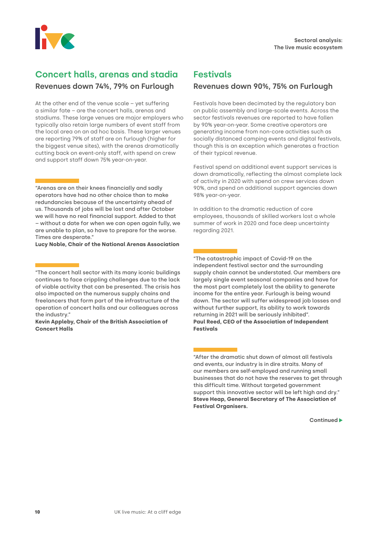<span id="page-9-0"></span>

# **Concert halls, arenas and stadia**

#### **Revenues down 74%, 79% on Furlough**

At the other end of the venue scale – yet suffering a similar fate – are the concert halls, arenas and stadiums. These large venues are major employers who typically also retain large numbers of event staff from the local area on an ad hoc basis. These larger venues are reporting 79% of staff are on furlough (higher for the biggest venue sites), with the arenas dramatically cutting back on event-only staff, with spend on crew and support staff down 75% year-on-year.

"Arenas are on their knees financially and sadly operators have had no other choice than to make redundancies because of the uncertainty ahead of us. Thousands of jobs will be lost and after October we will have no real financial support. Added to that – without a date for when we can open again fully, we are unable to plan, so have to prepare for the worse. Times are desperate."

**Lucy Noble, Chair of the National Arenas Association**

"The concert hall sector with its many iconic buildings continues to face crippling challenges due to the lack of viable activity that can be presented. The crisis has also impacted on the numerous supply chains and freelancers that form part of the infrastructure of the operation of concert halls and our colleagues across the industry."

**Kevin Appleby, Chair of the British Association of Concert Halls**

# **Festivals**

#### **Revenues down 90%, 75% on Furlough**

Festivals have been decimated by the regulatory ban on public assembly and large-scale events. Across the sector festivals revenues are reported to have fallen by 90% year-on-year. Some creative operators are generating income from non-core activities such as socially distanced camping events and digital festivals, though this is an exception which generates a fraction of their typical revenue.

Festival spend on additional event support services is down dramatically, reflecting the almost complete lack of activity in 2020 with spend on crew services down 90%, and spend on additional support agencies down 98% year-on-year.

In addition to the dramatic reduction of core employees, thousands of skilled workers lost a whole summer of work in 2020 and face deep uncertainty regarding 2021.

"The catastrophic impact of Covid-19 on the independent festival sector and the surrounding supply chain cannot be understated. Our members are largely single event seasonal companies and have for the most part completely lost the ability to generate income for the entire year. Furlough is being wound down. The sector will suffer widespread job losses and without further support, its ability to work towards returning in 2021 will be seriously inhibited". **Paul Reed, CEO of the Association of Independent Festivals** 

"After the dramatic shut down of almost all festivals and events, our industry is in dire straits. Many of our members are self-employed and running small businesses that do not have the reserves to get through this difficult time. Without targeted government support this innovative sector will be left high and dry." **Steve Heap, General Secretary of The Association of Festival Organisers.**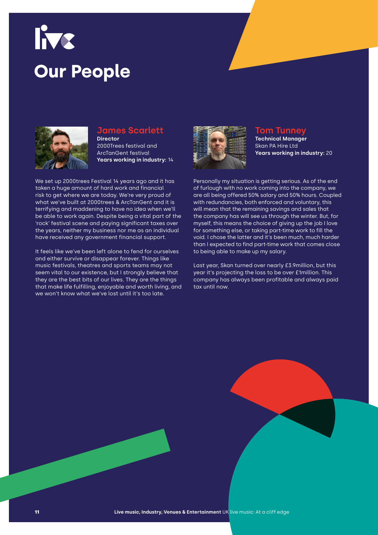# live **Our People**



#### **James Scarlett Director**

2000Trees festival and ArcTanGent festival **Years working in industry:** 14

We set up 2000trees Festival 14 years ago and it has taken a huge amount of hard work and financial risk to get where we are today. We're very proud of what we've built at 2000trees & ArcTanGent and it is terrifying and maddening to have no idea when we'll be able to work again. Despite being a vital part of the 'rock' festival scene and paying significant taxes over the years, neither my business nor me as an individual have received any government financial support.

It feels like we've been left alone to fend for ourselves and either survive or disappear forever. Things like music festivals, theatres and sports teams may not seem vital to our existence, but I strongly believe that they are the best bits of our lives. They are the things that make life fulfilling, enjoyable and worth living, and we won't know what we've lost until it's too late.



#### **Tom Tunney**

**Technical Manager**  Skan PA Hire Ltd **Years working in industry:** 20

Personally my situation is getting serious. As of the end of furlough with no work coming into the company, we are all being offered 50% salary and 50% hours. Coupled with redundancies, both enforced and voluntary, this will mean that the remaining savings and sales that the company has will see us through the winter. But, for myself, this means the choice of giving up the job I love for something else, or taking part-time work to fill the void. I chose the latter and it's been much, much harder than I expected to find part-time work that comes close to being able to make up my salary.

Last year, Skan turned over nearly £3.9million, but this year it's projecting the loss to be over £1million. This company has always been profitable and always paid tax until now.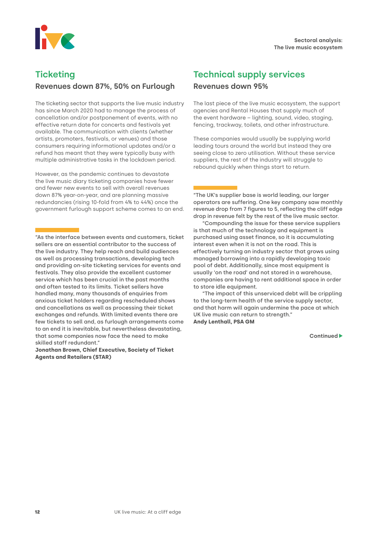<span id="page-11-0"></span>

# **Ticketing**

#### **Revenues down 87%, 50% on Furlough**

The ticketing sector that supports the live music industry has since March 2020 had to manage the process of cancellation and/or postponement of events, with no effective return date for concerts and festivals yet available. The communication with clients (whether artists, promoters, festivals, or venues) and those consumers requiring informational updates and/or a refund has meant that they were typically busy with multiple administrative tasks in the lockdown period.

However, as the pandemic continues to devastate the live music diary ticketing companies have fewer and fewer new events to sell with overall revenues down 87% year-on-year, and are planning massive redundancies (rising 10-fold from 4% to 44%) once the government furlough support scheme comes to an end.

"As the interface between events and customers, ticket sellers are an essential contributor to the success of the live industry. They help reach and build audiences as well as processing transactions, developing tech and providing on-site ticketing services for events and festivals. They also provide the excellent customer service which has been crucial in the past months and often tested to its limits. Ticket sellers have handled many, many thousands of enquiries from anxious ticket holders regarding rescheduled shows and cancellations as well as processing their ticket exchanges and refunds. With limited events there are few tickets to sell and, as furlough arrangements come to an end it is inevitable, but nevertheless devastating, that some companies now face the need to make skilled staff redundant."

**Jonathan Brown, Chief Executive, Society of Ticket Agents and Retailers (STAR)**

# **Technical supply services**

#### **Revenues down 95%**

The last piece of the live music ecosystem, the support agencies and Rental Houses that supply much of the event hardware – lighting, sound, video, staging, fencing, trackway, toilets, and other infrastructure.

These companies would usually be supplying world leading tours around the world but instead they are seeing close to zero utilisation. Without these service suppliers, the rest of the industry will struggle to rebound quickly when things start to return.

"The UK's supplier base is world leading, our larger operators are suffering. One key company saw monthly revenue drop from 7 figures to 5, reflecting the cliff edge drop in revenue felt by the rest of the live music sector.

"Compounding the issue for these service suppliers is that much of the technology and equipment is purchased using asset finance, so it is accumulating interest even when it is not on the road. This is effectively turning an industry sector that grows using managed borrowing into a rapidly developing toxic pool of debt. Additionally, since most equipment is usually 'on the road' and not stored in a warehouse, companies are having to rent additional space in order to store idle equipment.

"The impact of this unserviced debt will be crippling to the long-term health of the service supply sector, and that harm will again undermine the pace at which UK live music can return to strength." **Andy Lenthall, PSA GM**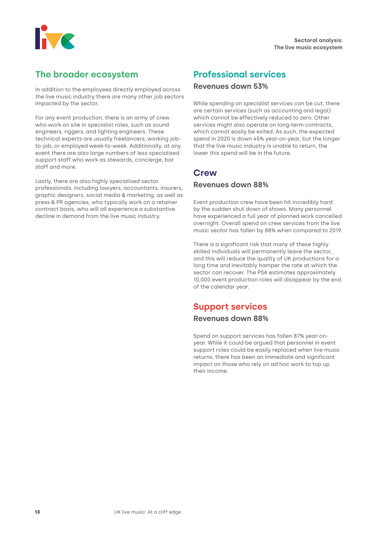<span id="page-12-0"></span>

# **The broader ecosystem**

In addition to the employees directly employed across the live music industry there are many other job sectors impacted by the sector.

For any event production, there is an army of crew who work on site in specialist roles, such as sound engineers, riggers, and lighting engineers. These technical experts are usually freelancers, working jobto-job, or employed week-to-week. Additionally, at any event there are also large numbers of less specialised support staff who work as stewards, concierge, bar staff and more.

Lastly, there are also highly specialised sector professionals, including lawyers, accountants, insurers, graphic designers, social media & marketing, as well as press & PR agencies, who typically work on a retainer contract basis, who will all experience a substantive decline in demand from the live music industry.

# **Professional services**

#### **Revenues down 53%**

While spending on specialist services can be cut, there are certain services (such as accounting and legal) which cannot be effectively reduced to zero. Other services might also operate on long-term contracts, which cannot easily be exited. As such, the expected spend in 2020 is down 45% year-on-year, but the longer that the live music industry is unable to return, the lower this spend will be in the future.

# **Crew**

#### **Revenues down 88%**

Event production crew have been hit incredibly hard by the sudden shut down of shows. Many personnel have experienced a full year of planned work cancelled overnight. Overall spend on crew services from the live music sector has fallen by 88% when compared to 2019.

There is a significant risk that many of these highly skilled individuals will permanently leave the sector, and this will reduce the quality of UK productions for a long time and inevitably hamper the rate at which the sector can recover. The PSA estimates approximately 10,000 event production roles will disappear by the end of the calendar year.

### **Support services**

#### **Revenues down 88%**

Spend on support services has fallen 87% year-onyear. While it could be argued that personnel in event support roles could be easily replaced when live music returns, there has been an immediate and significant impact on those who rely on ad hoc work to top up their income.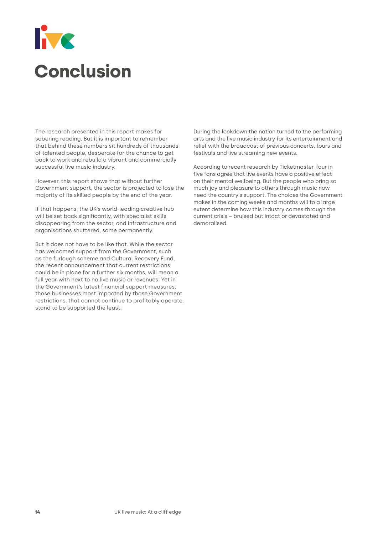# <span id="page-13-0"></span>**IVE Conclusion**

The research presented in this report makes for sobering reading. But it is important to remember that behind these numbers sit hundreds of thousands of talented people, desperate for the chance to get back to work and rebuild a vibrant and commercially successful live music industry.

However, this report shows that without further Government support, the sector is projected to lose the majority of its skilled people by the end of the year.

If that happens, the UK's world-leading creative hub will be set back significantly, with specialist skills disappearing from the sector, and infrastructure and organisations shuttered, some permanently.

But it does not have to be like that. While the sector has welcomed support from the Government, such as the furlough scheme and Cultural Recovery Fund, the recent announcement that current restrictions could be in place for a further six months, will mean a full year with next to no live music or revenues. Yet in the Government's latest financial support measures, those businesses most impacted by those Government restrictions, that cannot continue to profitably operate, stand to be supported the least.

During the lockdown the nation turned to the performing arts and the live music industry for its entertainment and relief with the broadcast of previous concerts, tours and festivals and live streaming new events.

According to recent research by Ticketmaster, four in five fans agree that live events have a positive effect on their mental wellbeing. But the people who bring so much joy and pleasure to others through music now need the country's support. The choices the Government makes in the coming weeks and months will to a large extent determine how this industry comes through the current crisis – bruised but intact or devastated and demoralised.